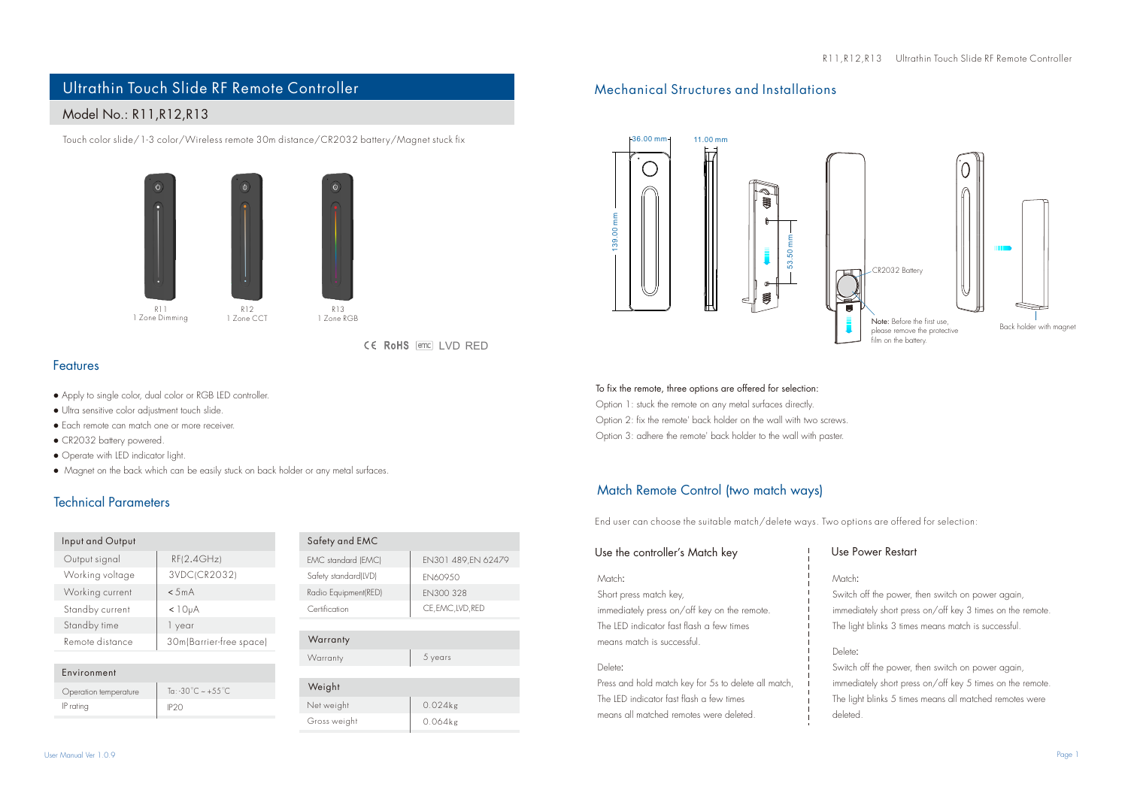# Ultrathin Touch Slide RF Remote Controller Mechanical Structures and Installations

## Model No.: R11,R12,R13

Touch color slide/1-3 color/Wireless remote 30m distance/CR2032 battery/Magnet stuck fix





 $W_6$ 

CE RoHS [emc] LVD RED

#### Features

- Apply to single color, dual color or RGB LED controller.
- Ultra sensitive color adjustment touch slide.
- Each remote can match one or more receiver.
- CR2032 battery powered.
- Operate with LED indicator light.
- Magnet on the back which can be easily stuck on back holder or any metal surfaces.

## Technical Parameters

| Input and Output |                         |
|------------------|-------------------------|
| Output signal    | RF(2.4GHz)              |
| Working voltage  | 3VDC(CR2032)            |
| Working current  | < 5mA                   |
| Standby current  | < 10 <sub>µ</sub> A     |
| Standby time     | 1 year                  |
| Remote distance  | 30m(Barrier-free space) |
|                  |                         |

| Environment           |                                 |
|-----------------------|---------------------------------|
| Operation temperature | To: -30°C $\sim +55^{\circ}$ C. |
| IP ratina             | IP <sub>20</sub>                |
|                       |                                 |

| Safety and EMC       |                    |
|----------------------|--------------------|
| EMC standard (EMC)   | EN301 489.EN 62479 |
| Safety standard(LVD) | <b>FN60950</b>     |
| Radio Equipment(RED) | FN300 328          |
| Certification        | CE, EMC, LVD, RED  |
|                      |                    |

| Warranty |         |
|----------|---------|
| Warranty | 5 years |
|          |         |

| Weight       |            |
|--------------|------------|
| Net weight   | $0.024$ kg |
| Gross weight | $0.064$ kg |



### To fix the remote, three options are offered for selection: Option 1: stuck the remote on any metal surfaces directly. Option 2: fix the remote' back holder on the wall with two screws.

Option 3: adhere the remote' back holder to the wall with paster.

## Match Remote Control (two match ways)

End user can choose the suitable match/delete ways. Two options are offered for selection:

## Use the controller's Match key

#### Match:

Short press match key,

immediately press on/off key on the remote. The LED indicator fast flash a few times means match is successful.

#### Delete:

Press and hold match key for 5s to delete all match, The LED indicator fast flash a few times means all matched remotes were deleted.

#### Use Power Restart

#### Match:

Switch off the power, then switch on power again, immediately short press on/off key 3 times on the remote. The light blinks 3 times means match is successful.

#### Delete:

Switch off the power, then switch on power again, immediately short press on/off key 5 times on the remote. The light blinks 5 times means all matched remotes were deleted.